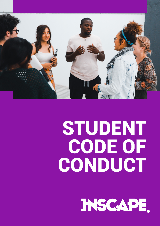

# STUDENT CODE OF CONDUCT

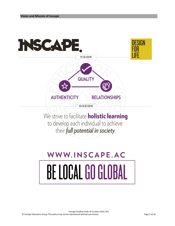

to develop each individual to achieve their full potential in society.

# WWW.INSCAPE.AC BE LOCAL GO GLOBAL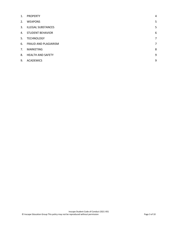| <b>PROPERTY</b>           | 4 |
|---------------------------|---|
| <b>WEAPONS</b>            | 5 |
| <b>ILLEGAL SUBSTANCES</b> | 5 |
| <b>STUDENT BEHAVIOR</b>   | 6 |
| <b>TECHNOLOGY</b>         | 7 |
| FRAUD AND PLAGIARISM      | 7 |
| <b>MARKETING</b>          | 8 |
| <b>HEALTH AND SAFETY</b>  | 9 |
| <b>ACADEMICS</b>          | 9 |
|                           |   |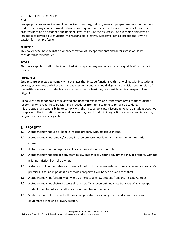# **STUDENT CODE OF CONDUCT**

## **AIM**

Inscape provides an environment conducive to learning, industry relevant programmes and courses, upto-date technology and informed lecturers. We require that the students take responsibility for their progress both on an academic and personal level to ensure their success. The overriding objective at Inscape is to develop our students into responsible, creative, successful, ethical practitioners with a passion for their profession.

# **PURPOSE**

This policy describes the institutional expectation of Inscape students and details what would be considered as misconduct.

### **SCOPE**

This policy applies to all students enrolled at Inscape for any contact or distance qualification or short course.

### **PRINCIPLES**

Students are expected to comply with the laws that Inscape functions within as well as with institutional policies, procedures and directives. Inscape student conduct should align with the vision and mission of the institution, as such students are expected to be professional, responsible, ethical, respectful and diligent.

All policies and handbooks are reviewed and updated regularly, and it therefore remains the student's responsibility to read these policies and procedures from time to time to remain up to date. It is the student's responsibility to comply with the Inscape policies. Misconduct where a student does not comply with the institutional rules and policies may result in disciplinary action and noncompliance may be grounds for disciplinary action.

# <span id="page-3-0"></span>**1. PROPERTY**

- 1.1 A student may not use or handle Inscape property with malicious intent.
- 1.2 A student may not remove/use any Inscape property, equipment or amenities without prior consent.
- 1.3 A student may not damage or use Inscape property inappropriately.
- 1.4 A student may not displace any staff, fellow students or visitor's equipment and/or property without prior permission from the owner.
- 1.5 A student will not perpetrate any form of theft of Inscape property, or from any person on Inscape's premises. If found in possession of stolen property it will be seen as an act of theft.
- 1.6 A student may not forcefully deny entry or exit to a fellow student from any Inscape Campus.
- 1.7 A student may not obstruct access through traffic, movement and class transfers of any Inscape student, member of staff and/or visitor or member of the public.
- 1.8 Students shall not litter and will remain responsible for cleaning their workspaces, studio and equipment at the end of every session.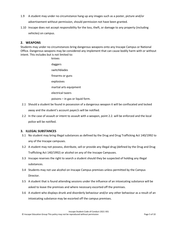- 1.9 A student may under no circumstance hang up any images such as a poster, picture and/or advertisement without permission, should permission not have been granted.
- 1.10 Inscape does not accept responsibility for the loss, theft, or damage to any property (including vehicles) on campus.

# <span id="page-4-0"></span>**2. WEAPONS**

Students may under no circumstances bring dangerous weapons onto any Inscape Campus or National Office. Dangerous weapons may be considered any implement that can cause bodily harm with or without intent. This includes but is not limited to:

- knives daggers switchblades firearms or guns explosives martial arts equipment electrical tazers poisons – in gas or liquid form.
- 2.1 Should a student be found in possession of a dangerous weapon it will be confiscated and locked away and the student's account payer/s will be notified.
- 2.2 In the case of assault or intent to assault with a weapon, point 2.2. will be enforced and the local police will be notified.

# <span id="page-4-1"></span>**3. ILLEGAL SUBSTANCES**

- 3.1 No student may bring illegal substances as defined by the Drug and Drug Trafficking Act 140/1992 to any of the Inscape campuses.
- 3.2 A student may not possess, distribute, sell or provide any illegal drug (defined by the Drug and Drug Trafficking Act 140/1992) or alcohol on any of the Inscape Campuses.
- 3.3 Inscape reserves the right to search a student should they be suspected of holding any illegal substances.
- 3.4 Students may not use alcohol on Inscape Campus premises unless permitted by the Campus Director.
- 3.5 A student that is found attending sessions under the influence of an intoxicating substance will be asked to leave the premises and where necessary escorted off the premises.
- 3.6 A student who displays drunk and disorderly behaviour and/or any other behaviour as a result of an intoxicating substance may be escorted off the campus premises.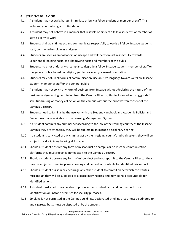# <span id="page-5-0"></span>**4. STUDENT BEHAVIOR**

- 4.1 A student may not stalk, harass, intimidate or bully a fellow student or member of staff. This includes cyber bullying and intimidation.
- 4.2 A student may not behave in a manner that restricts or hinders a fellow student's or member of staff's ability to work.
- 4.3 Students shall at all times act and communicate respectfully towards all fellow Inscape students, staff, contracted employees and guests.
- 4.4 Students are seen as ambassadors of Inscape and will therefore act respectfully towards Experiential Training hosts, Job Shadowing hosts and members of the public.
- 4.5 Students may not under any circumstance degrade a fellow Inscape student, member of staff or the general public based on religion, gender, race and/or sexual orientation.
- 4.6 Students may not, in all forms of communication, use abusive language towards a fellow Inscape student, member of staff or the general public.
- 4.7 A student may not solicit any form of business from Inscape without declaring the nature of the business and/or asking permission from the Campus Director, this includes advertising goods for sale, fundraising or money collection on the campus without the prior written consent of the Campus Director.
- 4.8 Students need to familiarize themselves with the Student Handbook and Academic Policies and Procedures made available on the Learning Management System.
- 4.9 If a student commits any criminal act according to the law of the residing country of the Inscape Campus they are attending, they will be subject to an Inscape disciplinary hearing.
- 4.10 If a student is convicted of any criminal act by their residing county's judicial system, they will be subject to a disciplinary hearing at Inscape.
- 4.11 Should a student observe any form of misconduct on campus or on Inscape communication platforms they must report it immediately to the Campus Director.
- 4.12 Should a student observe any form of misconduct and not report it to the Campus Director they may be subjected to a disciplinary hearing and be held accountable for identified misconduct.
- 4.13 Should a student assist in or encourage any other student to commit an act which constitutes misconduct they will be subjected to a disciplinary hearing and may be held accountable for identified actions.
- 4.14 A student must at all times be able to produce their student card and number as form as identification on Inscape premises for security purposes.
- 4.15 Smoking is not permitted in the Campus buildings. Designated smoking areas must be adhered to and cigarette butts must be disposed of by the student.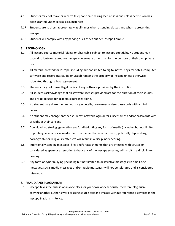- 4.16 Students may not make or receive telephone calls during lecture sessions unless permission has been granted under special circumstances.
- 4.17 Students are to dress appropriately at all times when attending classes and when representing Inscape.
- 4.18 Students will comply with any parking rules as set out per Inscape Campus.

# <span id="page-6-0"></span>**5. TECHNOLOGY**

- 5.1 All Inscape course material (digital or physical) is subject to Inscape copyright. No student may copy, distribute or reproduce Inscape courseware other than for the purpose of their own private use.
- 5.2 All material created for Inscape, including but not limited to digital notes, physical notes, computer software and recordings (audio or visual) remains the property of Inscape unless otherwise stipulated through a legal agreement.
- 5.3 Students may not make illegal copies of any software provided by the institution.
- 5.4 All students acknowledge that all software licenses provided are for the duration of their studies and are to be used for academic purposes alone.
- 5.5 No student may share their network login details, usernames and/or passwords with a third person.
- 5.6 No student may change another student's network login details, usernames and/or passwords with or without their consent.
- 5.7 Downloading, storing, generating and/or distributing any form of media (including but not limited to printing, videos, social media platform media) that is racist, sexist, politically deprecating, pornographic or religiously offensive will result in a disciplinary hearing.
- 5.8 Intentionally sending messages, files and/or attachments that are infected with viruses or considered as spam or attempting to hack any of the Inscape systems, will result in a disciplinary hearing.
- 5.9 Any form of cyber bullying (including but not limited to destructive messages via email, text messages, social media messages and/or audio messages) will not be tolerated and is considered misconduct.

# <span id="page-6-1"></span>**6. FRAUD AND PLAGIARISM**

6.1 Inscape takes the misuse of anyone elses, or your own work seriously, therefore plagiarism, copying another author's work or using source text and images without reference is covered in the Inscape Plagiarism Policy.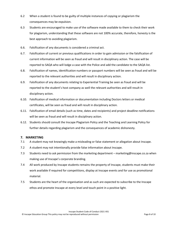- 6.2 When a student is found to be guilty of multiple instances of copying or plagiarism the consequences may be expulsion.
- 6.3 Students are encouraged to make use of the software made available to them to check their work for plagiarism, understanding that these software are not 100% accurate, therefore, honesty is the best approach to avoiding plagiarism.
- 6.6. Falsification of any documents is considered a criminal act.
- 6.7. Falsification of current or previous qualifications in order to gain admission or the falsification of current information will be seen as fraud and will result in disciplinary action. The case will be reported to SAQA who will lodge a case with the Police and add the candidate to the SAQA list.
- 6.8. Falsification of names, identification numbers or passport numbers will be seen as fraud and will be reported to the relevant authorities and will result in disciplinary action.
- 6.9. Falsification of any documents relating to Experiential Training be seen as fraud and will be reported to the student's host company as well the relevant authorities and will result in disciplinary action.
- 6.10. Falsification of medical information or documentation including Doctors letters or medical certificates, will be seen as fraud and will result in disciplinary action.
- 6.11. Falsification of email details (such as time, dates and recipients) and project deadline notifications will be seen as fraud and will result in disciplinary action.
- 6.12. Students should consult the Inscape Plagiarism Policy and the Teaching and Learning Policy for further details regarding plagiarism and the consequences of academic dishonesty.

# <span id="page-7-0"></span>**7. MARKETING**

- 7.1 A student may not knowingly make a misleading or false statement or allegation about Inscape.
- 7.2 A student may not intentionally provide false information about Inscape.
- 7.3 Students need to ask permission from the marketing department [marketing@inscape.co.za](mailto:marketing@inscape.co.za) when making use of Inscape's corporate branding.
- 7.4 All work produced by Inscape students remains the property of Inscape, students must make their work available if required for competitions, display at Inscape events and for use as promotional material.
- 7.5 Students are the heart of the organisation and as such are expected to subscribe to the Inscape ethos and promote Inscape at every level and touch point in a positive light.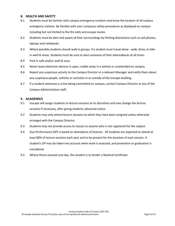## <span id="page-8-0"></span>**8. HEALTH AND SAFETY**

- 8.1 Students must be familiar with campus emergency numbers and know the location of all campus emergency stations. Be familiar with your campuses safety procedures as displayed on campus including but not limited to the fire exits and escape routes.
- 8.2 Students must be alert and aware of their surroundings by limiting distractions such as cell phones, laptops and notebooks.
- 8.3 Where possible students should walk in groups, if a student must travel alone walk, drive, or bike in well-lit areas. Students must be sure to alert someone of their whereabouts at all times.
- 8.4 Park in safe and/or well-lit area.
- 8.5 Never leave electronic devices in open, visible areas in a vehicle or unattended on campus.
- 8.6 Report any suspicious activity to the Campus Director or a relevant Manager and notify them about any suspicious people, vehicles or activities in or outside of the Inscape building.
- 8.7 If a student witnesses a crime being committed on campus, contact Campus Director or any of the Campus Administration staff.

### <span id="page-8-1"></span>**9. ACADEMICS**

- 9.1 Inscape will assign students to lecture sessions at its discretion and may change the lecture sessions if necessary, after giving students advanced notice.
- 9.2 Students may only attend lecture sessions to which they have been assigned unless otherwise arranged with the Campus Director.
- 9.3 Students may not provide access to classes to anyone who is not registered for the subject.
- 9.4 Due Performance (DP) is based on attendance of lectures. All students are expected to attend at least 80% of lecture sessions each year and to be present for the duration of each session. A student's DP may be taken into account when work is assessed, and promotion or graduation is considered.
- 9.5 Where illness exceeds one day, the student is to tender a Medical Certificate.